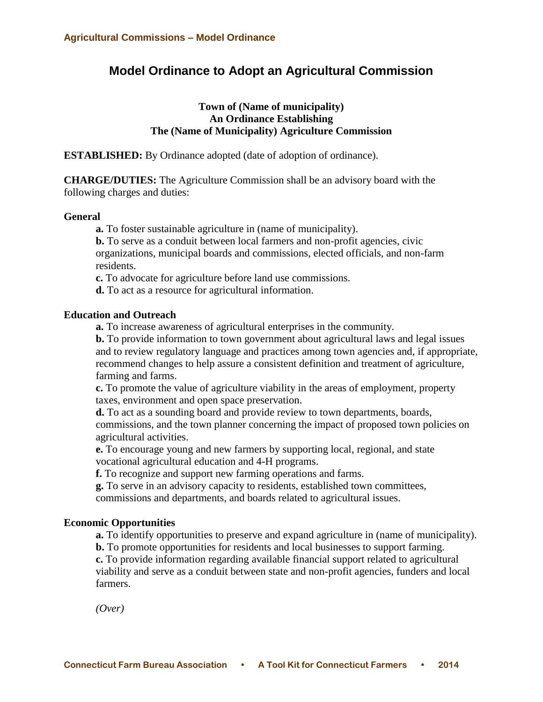## **Model Ordinance to Adopt an Agricultural Commission**

### **Town of (Name of municipality) An Ordinance Establishing The (Name of Municipality) Agriculture Commission**

**ESTABLISHED:** By Ordinance adopted (date of adoption of ordinance).

**CHARGE/DUTIES:** The Agriculture Commission shall be an advisory board with the following charges and duties:

#### **General**

**a.** To foster sustainable agriculture in (name of municipality).

**b.** To serve as a conduit between local farmers and non-profit agencies, civic organizations, municipal boards and commissions, elected officials, and non-farm residents.

**c.** To advocate for agriculture before land use commissions.

**d.** To act as a resource for agricultural information.

#### **Education and Outreach**

**a.** To increase awareness of agricultural enterprises in the community.

**b.** To provide information to town government about agricultural laws and legal issues and to review regulatory language and practices among town agencies and, if appropriate, recommend changes to help assure a consistent definition and treatment of agriculture, farming and farms.

**c.** To promote the value of agriculture viability in the areas of employment, property taxes, environment and open space preservation.

**d.** To act as a sounding board and provide review to town departments, boards, commissions, and the town planner concerning the impact of proposed town policies on agricultural activities.

**e.** To encourage young and new farmers by supporting local, regional, and state vocational agricultural education and 4-H programs.

**f.** To recognize and support new farming operations and farms.

**g.** To serve in an advisory capacity to residents, established town committees, commissions and departments, and boards related to agricultural issues.

# **Economic Opportunities**

**a.** To identify opportunities to preserve and expand agriculture in (name of municipality).

**b.** To promote opportunities for residents and local businesses to support farming.

**c.** To provide information regarding available financial support related to agricultural viability and serve as a conduit between state and non-profit agencies, funders and local farmers.

*(Over)*